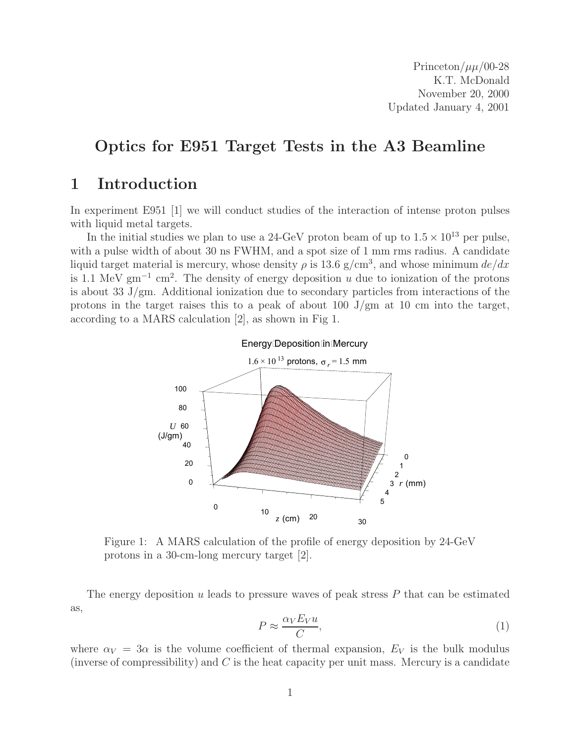Princeton/ $\mu\mu/00-28$ K.T. McDonald November 20, 2000 Updated January 4, 2001

## **Optics for E951 Target Tests in the A3 Beamline**

## **1 Introduction**

In experiment E951 [1] we will conduct studies of the interaction of intense proton pulses with liquid metal targets.

In the initial studies we plan to use a 24-GeV proton beam of up to  $1.5 \times 10^{13}$  per pulse, with a pulse width of about 30 ns FWHM, and a spot size of 1 mm rms radius. A candidate liquid target material is mercury, whose density  $\rho$  is 13.6 g/cm<sup>3</sup>, and whose minimum de/dx is 1.1 MeV  $\text{gm}^{-1}$  cm<sup>2</sup>. The density of energy deposition u due to ionization of the protons is about 33 J/gm. Additional ionization due to secondary particles from interactions of the protons in the target raises this to a peak of about 100 J/gm at 10 cm into the target, according to a MARS calculation [2], as shown in Fig 1.



Figure 1: A MARS calculation of the profile of energy deposition by 24-GeV protons in a 30-cm-long mercury target [2].

The energy deposition  $u$  leads to pressure waves of peak stress  $P$  that can be estimated as,

$$
P \approx \frac{\alpha_V E_V u}{C},\tag{1}
$$

where  $\alpha_V = 3\alpha$  is the volume coefficient of thermal expansion,  $E_V$  is the bulk modulus (inverse of compressibility) and  $C$  is the heat capacity per unit mass. Mercury is a candidate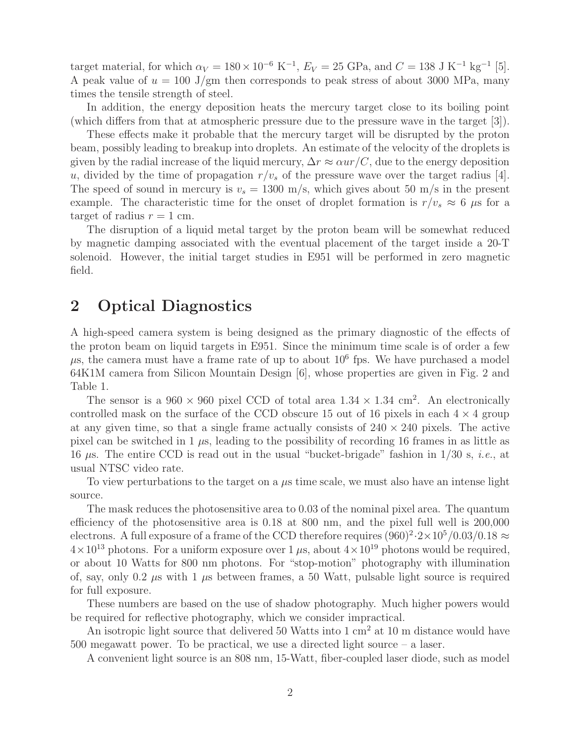target material, for which  $\alpha_V = 180 \times 10^{-6} \text{ K}^{-1}$ ,  $E_V = 25 \text{ GPa}$ , and  $C = 138 \text{ J K}^{-1} \text{ kg}^{-1}$  [5]. A peak value of  $u = 100$  J/gm then corresponds to peak stress of about 3000 MPa, many times the tensile strength of steel.

In addition, the energy deposition heats the mercury target close to its boiling point (which differs from that at atmospheric pressure due to the pressure wave in the target [3]).

These effects make it probable that the mercury target will be disrupted by the proton beam, possibly leading to breakup into droplets. An estimate of the velocity of the droplets is given by the radial increase of the liquid mercury,  $\Delta r \approx \alpha u r / C$ , due to the energy deposition u, divided by the time of propagation  $r/v_s$  of the pressure wave over the target radius [4]. The speed of sound in mercury is  $v_s = 1300$  m/s, which gives about 50 m/s in the present example. The characteristic time for the onset of droplet formation is  $r/v_s \approx 6 \mu s$  for a target of radius  $r = 1$  cm.

The disruption of a liquid metal target by the proton beam will be somewhat reduced by magnetic damping associated with the eventual placement of the target inside a 20-T solenoid. However, the initial target studies in E951 will be performed in zero magnetic field.

### **2 Optical Diagnostics**

A high-speed camera system is being designed as the primary diagnostic of the effects of the proton beam on liquid targets in E951. Since the minimum time scale is of order a few  $\mu$ s, the camera must have a frame rate of up to about 10<sup>6</sup> fps. We have purchased a model 64K1M camera from Silicon Mountain Design [6], whose properties are given in Fig. 2 and Table 1.

The sensor is a  $960 \times 960$  pixel CCD of total area  $1.34 \times 1.34$  cm<sup>2</sup>. An electronically controlled mask on the surface of the CCD obscure 15 out of 16 pixels in each  $4 \times 4$  group at any given time, so that a single frame actually consists of  $240 \times 240$  pixels. The active pixel can be switched in 1  $\mu$ s, leading to the possibility of recording 16 frames in as little as 16 μs. The entire CCD is read out in the usual "bucket-brigade" fashion in 1/30 s, *i.e.*, at usual NTSC video rate.

To view perturbations to the target on a  $\mu$ s time scale, we must also have an intense light source.

The mask reduces the photosensitive area to 0.03 of the nominal pixel area. The quantum efficiency of the photosensitive area is 0.18 at 800 nm, and the pixel full well is 200,000 electrons. A full exposure of a frame of the CCD therefore requires  $(960)^2 \cdot 2 \times 10^5 / (0.03 / 0.18 \approx$  $4\times10^{13}$  photons. For a uniform exposure over 1  $\mu$ s, about  $4\times10^{19}$  photons would be required, or about 10 Watts for 800 nm photons. For "stop-motion" photography with illumination of, say, only 0.2  $\mu$ s with 1  $\mu$ s between frames, a 50 Watt, pulsable light source is required for full exposure.

These numbers are based on the use of shadow photography. Much higher powers would be required for reflective photography, which we consider impractical.

An isotropic light source that delivered 50 Watts into  $1 \text{ cm}^2$  at 10 m distance would have 500 megawatt power. To be practical, we use a directed light source – a laser.

A convenient light source is an 808 nm, 15-Watt, fiber-coupled laser diode, such as model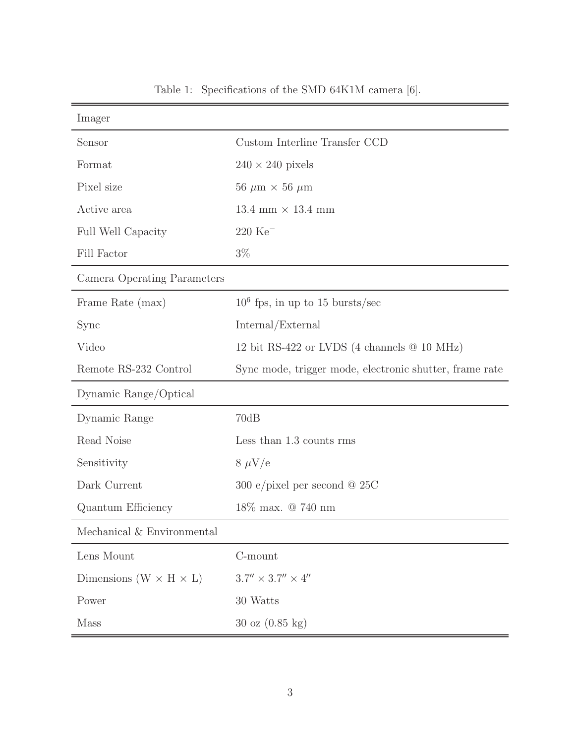| Imager                               |                                                         |
|--------------------------------------|---------------------------------------------------------|
| Sensor                               | Custom Interline Transfer CCD                           |
| Format                               | $240 \times 240$ pixels                                 |
| Pixel size                           | 56 $\mu$ m × 56 $\mu$ m                                 |
| Active area                          | 13.4 mm $\times$ 13.4 mm                                |
| Full Well Capacity                   | $220~\mathrm{Ke}^-$                                     |
| Fill Factor                          | $3\%$                                                   |
| Camera Operating Parameters          |                                                         |
| Frame Rate (max)                     | $10^6$ fps, in up to 15 bursts/sec                      |
| Sync                                 | Internal/External                                       |
| Video                                | 12 bit RS-422 or LVDS (4 channels $@$ 10 MHz)           |
| Remote RS-232 Control                | Sync mode, trigger mode, electronic shutter, frame rate |
| Dynamic Range/Optical                |                                                         |
| Dynamic Range                        | 70dB                                                    |
| Read Noise                           | Less than 1.3 counts rms                                |
| Sensitivity                          | $8 \mu V/e$                                             |
| Dark Current                         | 300 e/pixel per second $@$ 25C                          |
| Quantum Efficiency                   | 18\% max. @ 740 nm                                      |
| Mechanical & Environmental           |                                                         |
| Lens Mount                           | C-mount                                                 |
| Dimensions ( $W \times H \times L$ ) | $3.7'' \times 3.7'' \times 4''$                         |
| Power                                | 30 Watts                                                |
| Mass                                 | $30 \text{ oz } (0.85 \text{ kg})$                      |

Table 1: Specifications of the SMD 64K1M camera [6].

 $\equiv$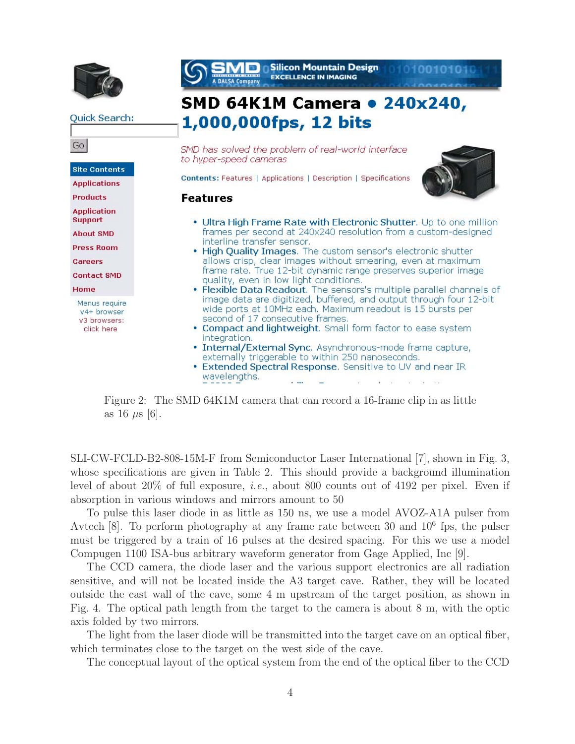

Quick Search:

Go **Site Contents Applications Products Application Support About SMD Press Room** Careers **Contact SMD** Home Menus require v4+ browser v3 browsers: click here



- Ultra High Frame Rate with Electronic Shutter. Up to one million frames per second at 240x240 resolution from a custom-designed interline transfer sensor.
- . High Quality Images. The custom sensor's electronic shutter allows crisp, clear images without smearing, even at maximum frame rate. True 12-bit dynamic range preserves superior image quality, even in low light conditions.
- . Flexible Data Readout. The sensors's multiple parallel channels of image data are digitized, buffered, and output through four 12-bit wide ports at 10MHz each. Maximum readout is 15 bursts per second of 17 consecutive frames.
- Compact and lightweight. Small form factor to ease system integration.
- · Internal/External Sync. Asynchronous-mode frame capture, externally triggerable to within 250 nanoseconds.
- Extended Spectral Response. Sensitive to UV and near IR wavelengths.  $\cdots$

Figure 2: The SMD 64K1M camera that can record a 16-frame clip in as little as 16  $\mu$ s [6].

SLI-CW-FCLD-B2-808-15M-F from Semiconductor Laser International [7], shown in Fig. 3, whose specifications are given in Table 2. This should provide a background illumination level of about 20% of full exposure, *i.e.*, about 800 counts out of 4192 per pixel. Even if absorption in various windows and mirrors amount to 50

To pulse this laser diode in as little as 150 ns, we use a model AVOZ-A1A pulser from Avtech  $[8]$ . To perform photography at any frame rate between 30 and  $10^6$  fps, the pulser must be triggered by a train of 16 pulses at the desired spacing. For this we use a model Compugen 1100 ISA-bus arbitrary waveform generator from Gage Applied, Inc [9].

The CCD camera, the diode laser and the various support electronics are all radiation sensitive, and will not be located inside the A3 target cave. Rather, they will be located outside the east wall of the cave, some 4 m upstream of the target position, as shown in Fig. 4. The optical path length from the target to the camera is about 8 m, with the optic axis folded by two mirrors.

The light from the laser diode will be transmitted into the target cave on an optical fiber, which terminates close to the target on the west side of the cave.

The conceptual layout of the optical system from the end of the optical fiber to the CCD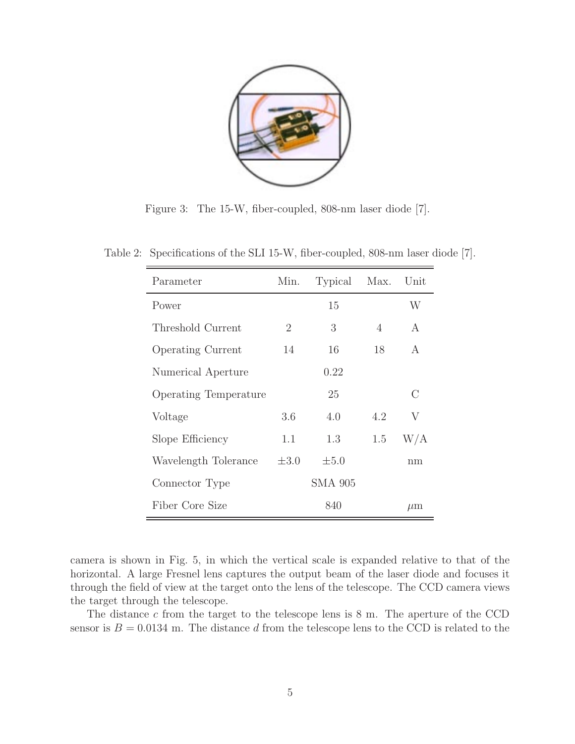

Figure 3: The 15-W, fiber-coupled, 808-nm laser diode [7].

| Parameter                    | Min.      | Typical        | Max.           | Unit    |
|------------------------------|-----------|----------------|----------------|---------|
| Power                        |           | 15             |                | W       |
| Threshold Current            | 2         | 3              | $\overline{4}$ | A       |
| <b>Operating Current</b>     | 14        | 16             | 18             | A       |
| Numerical Aperture           |           | 0.22           |                |         |
| <b>Operating Temperature</b> |           | 25             |                | $\rm C$ |
| Voltage                      | 3.6       | 4.0            | 4.2            | V       |
| Slope Efficiency             | 1.1       | 1.3            | 1.5            | W/A     |
| Wavelength Tolerance         | $\pm 3.0$ | $\pm 5.0$      |                | nm      |
| Connector Type               |           | <b>SMA 905</b> |                |         |
| Fiber Core Size              |           | 840            |                | $\mu$ m |

Table 2: Specifications of the SLI 15-W, fiber-coupled, 808-nm laser diode [7].

camera is shown in Fig. 5, in which the vertical scale is expanded relative to that of the horizontal. A large Fresnel lens captures the output beam of the laser diode and focuses it through the field of view at the target onto the lens of the telescope. The CCD camera views the target through the telescope.

The distance c from the target to the telescope lens is 8 m. The aperture of the CCD sensor is  $B = 0.0134$  m. The distance d from the telescope lens to the CCD is related to the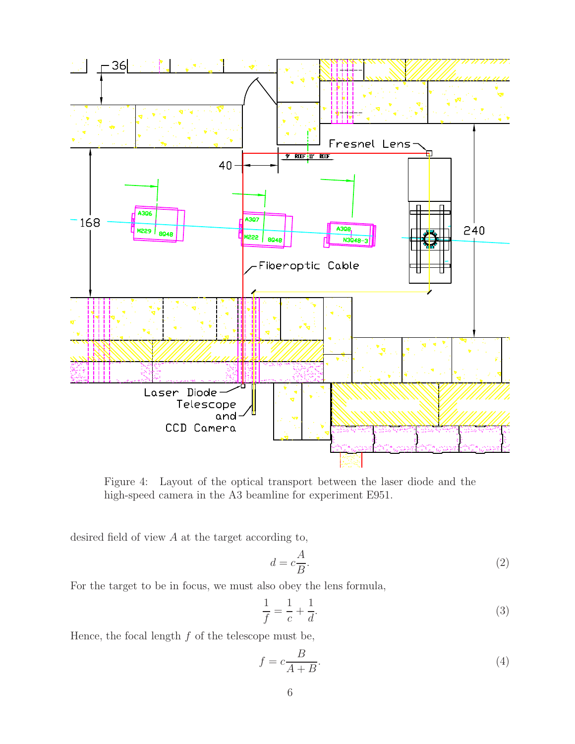

Figure 4: Layout of the optical transport between the laser diode and the high-speed camera in the A3 beamline for experiment E951.

desired field of view  $A$  at the target according to,

$$
d = c\frac{A}{B}.\tag{2}
$$

For the target to be in focus, we must also obey the lens formula,

$$
\frac{1}{f} = \frac{1}{c} + \frac{1}{d}.\tag{3}
$$

Hence, the focal length  $f$  of the telescope must be,

$$
f = c \frac{B}{A+B}.\tag{4}
$$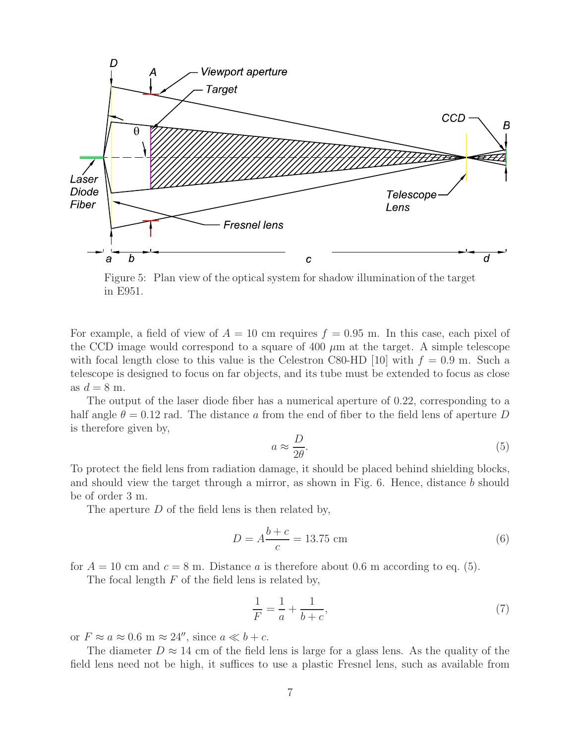

Figure 5: Plan view of the optical system for shadow illumination of the target in E951.

For example, a field of view of  $A = 10$  cm requires  $f = 0.95$  m. In this case, each pixel of the CCD image would correspond to a square of 400  $\mu$ m at the target. A simple telescope with focal length close to this value is the Celestron C80-HD [10] with  $f = 0.9$  m. Such a telescope is designed to focus on far objects, and its tube must be extended to focus as close as  $d = 8$  m.

The output of the laser diode fiber has a numerical aperture of 0.22, corresponding to a half angle  $\theta = 0.12$  rad. The distance a from the end of fiber to the field lens of aperture D is therefore given by,

$$
a \approx \frac{D}{2\theta}.\tag{5}
$$

To protect the field lens from radiation damage, it should be placed behind shielding blocks, and should view the target through a mirror, as shown in Fig. 6. Hence, distance b should be of order 3 m.

The aperture D of the field lens is then related by,

$$
D = A \frac{b+c}{c} = 13.75 \text{ cm} \tag{6}
$$

for  $A = 10$  cm and  $c = 8$  m. Distance a is therefore about 0.6 m according to eq. (5).

The focal length  $F$  of the field lens is related by,

$$
\frac{1}{F} = \frac{1}{a} + \frac{1}{b+c},\tag{7}
$$

or  $F \approx a \approx 0.6$  m  $\approx 24''$ , since  $a \ll b + c$ .

The diameter  $D \approx 14$  cm of the field lens is large for a glass lens. As the quality of the field lens need not be high, it suffices to use a plastic Fresnel lens, such as available from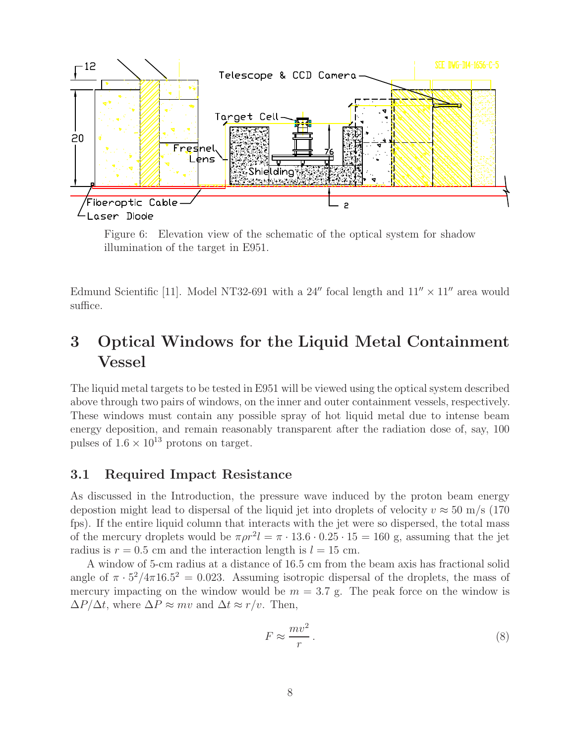

Figure 6: Elevation view of the schematic of the optical system for shadow illumination of the target in E951.

Edmund Scientific [11]. Model NT32-691 with a 24" focal length and  $11'' \times 11''$  area would suffice.

# **3 Optical Windows for the Liquid Metal Containment Vessel**

The liquid metal targets to be tested in E951 will be viewed using the optical system described above through two pairs of windows, on the inner and outer containment vessels, respectively. These windows must contain any possible spray of hot liquid metal due to intense beam energy deposition, and remain reasonably transparent after the radiation dose of, say, 100 pulses of  $1.6 \times 10^{13}$  protons on target.

#### **3.1 Required Impact Resistance**

As discussed in the Introduction, the pressure wave induced by the proton beam energy depostion might lead to dispersal of the liquid jet into droplets of velocity  $v \approx 50$  m/s (170) fps). If the entire liquid column that interacts with the jet were so dispersed, the total mass of the mercury droplets would be  $\pi \rho r^2 l = \pi \cdot 13.6 \cdot 0.25 \cdot 15 = 160$  g, assuming that the jet radius is  $r = 0.5$  cm and the interaction length is  $l = 15$  cm.

A window of 5-cm radius at a distance of 16.5 cm from the beam axis has fractional solid angle of  $\pi \cdot 5^2/4\pi 16.5^2 = 0.023$ . Assuming isotropic dispersal of the droplets, the mass of mercury impacting on the window would be  $m = 3.7$  g. The peak force on the window is  $\Delta P/\Delta t$ , where  $\Delta P \approx mv$  and  $\Delta t \approx r/v$ . Then,

$$
F \approx \frac{mv^2}{r} \,. \tag{8}
$$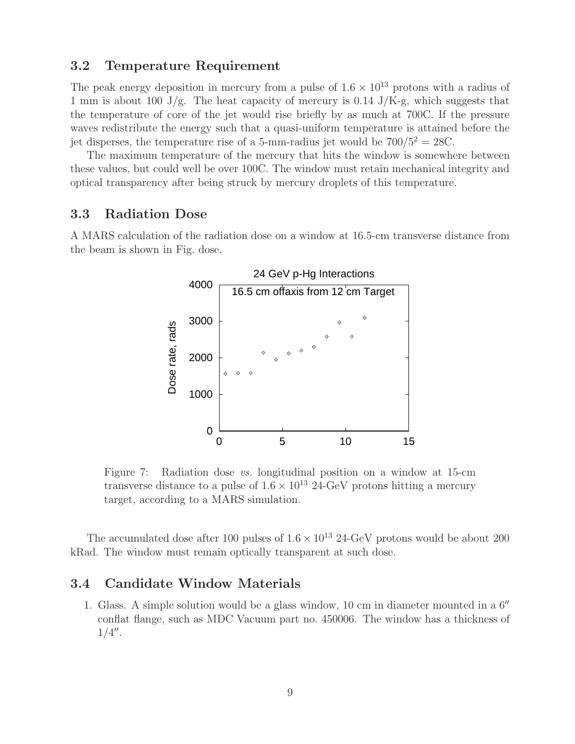#### **3.2 Temperature Requirement**

The peak energy deposition in mercury from a pulse of  $1.6 \times 10^{13}$  protons with a radius of 1 mm is about 100 J/g. The heat capacity of mercury is 0.14 J/K-g, which suggests that the temperature of core of the jet would rise briefly by as much at 700C. If the pressure waves redistribute the energy such that a quasi-uniform temperature is attained before the jet disperses, the temperature rise of a 5-mm-radius jet would be  $700/5^2 = 28C$ .

The maximum temperature of the mercury that hits the window is somewhere between these values, but could well be over 100C. The window must retain mechanical integrity and optical transparency after being struck by mercury droplets of this temperature.

#### **3.3 Radiation Dose**

A MARS calculation of the radiation dose on a window at 16.5-cm transverse distance from the beam is shown in Fig. dose.



Figure 7: Radiation dose *vs.* longitudinal position on a window at 15-cm transverse distance to a pulse of  $1.6 \times 10^{13}$  24-GeV protons hitting a mercury target, according to a MARS simulation.

The accumulated dose after 100 pulses of  $1.6 \times 10^{13}$  24-GeV protons would be about 200 kRad. The window must remain optically transparent at such dose.

#### **3.4 Candidate Window Materials**

1. Glass. A simple solution would be a glass window,  $10 \text{ cm}$  in diameter mounted in a  $6''$ conflat flange, such as MDC Vacuum part no. 450006. The window has a thickness of  $1/4''$ .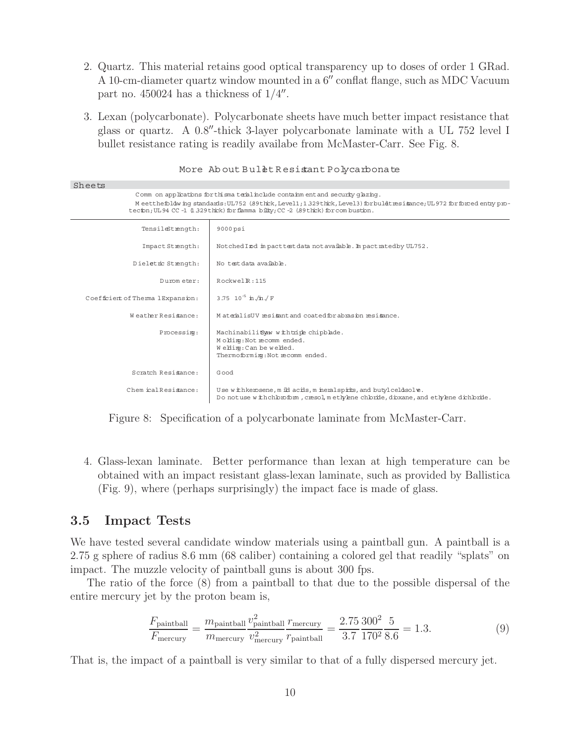- 2. Quartz. This material retains good optical transparency up to doses of order 1 GRad. A 10-cm-diameter quartz window mounted in a 6" conflat flange, such as MDC Vacuum part no.  $450024$  has a thickness of  $1/4''$ .
- 3. Lexan (polycarbonate). Polycarbonate sheets have much better impact resistance that glass or quartz. A 0.8"-thick 3-layer polycarbonate laminate with a UL 752 level I bullet resistance rating is readily availabe from McMaster-Carr. See Fig. 8.

| Sheets                                                                                                                                                                                                                                                                                            |                                                                                                                                                                |  |
|---------------------------------------------------------------------------------------------------------------------------------------------------------------------------------------------------------------------------------------------------------------------------------------------------|----------------------------------------------------------------------------------------------------------------------------------------------------------------|--|
| Comm on applications for thisma terial include containment and security q lazing.<br>Meetthefoldwing standards: UL752 (89thck, Level1; 1329thck, Level3) for buldtresisance; UL972 for forced entry pro-<br>tecion; UL 94 CC -1 (1.329 thick) for flamma bility; CC -2 (89 thick) for combustion. |                                                                                                                                                                |  |
| TensileStrength:                                                                                                                                                                                                                                                                                  | 9000psi                                                                                                                                                        |  |
| Impact Strength:                                                                                                                                                                                                                                                                                  | Notched I zod in pact test data not available. In pact rated by UL752.                                                                                         |  |
| Dieletric Strength:                                                                                                                                                                                                                                                                               | No test data avaibble.                                                                                                                                         |  |
| Dummeter:                                                                                                                                                                                                                                                                                         | $Rockwell$ $R:115$                                                                                                                                             |  |
| Coefficient of Therma lExpansion:                                                                                                                                                                                                                                                                 | 3.75 $10^{-5}$ in $\pi$ /F                                                                                                                                     |  |
| Weather Resistance:                                                                                                                                                                                                                                                                               | MaterilisUV resignt and coated for abrasin resignce.                                                                                                           |  |
| Processimg:                                                                                                                                                                                                                                                                                       | MachinabilitSaw withtripe chipblade.<br>Moldimg: Not recomm ended.<br>Weblimg: Can be webled.<br>Thermoforming: Not recomm ended.                              |  |
| Scratch Resistance:                                                                                                                                                                                                                                                                               | Good                                                                                                                                                           |  |
| Chemical Resistance:                                                                                                                                                                                                                                                                              | Use with kerosene, m ild acids, m ineral spirits, and butylceldsolve.<br>Do notuse with chbm form, cresol, methylene chbride, dipxane, and ethylene dichbride. |  |

More About Bullet Resistant Polycarbonate

Figure 8: Specification of a polycarbonate laminate from McMaster-Carr.

4. Glass-lexan laminate. Better performance than lexan at high temperature can be obtained with an impact resistant glass-lexan laminate, such as provided by Ballistica (Fig. 9), where (perhaps surprisingly) the impact face is made of glass.

#### **3.5 Impact Tests**

We have tested several candidate window materials using a paintball gun. A paintball is a 2.75 g sphere of radius 8.6 mm (68 caliber) containing a colored gel that readily "splats" on impact. The muzzle velocity of paintball guns is about 300 fps.

The ratio of the force (8) from a paintball to that due to the possible dispersal of the entire mercury jet by the proton beam is,

$$
\frac{F_{\text{paintball}}}{F_{\text{mercury}}} = \frac{m_{\text{paintball}}}{m_{\text{mercury}}} \frac{v_{\text{paintball}}^2}{v_{\text{mercury}}^2} \frac{r_{\text{mercury}}}{r_{\text{paintball}}} = \frac{2.75}{3.7} \frac{300^2}{170^2} \frac{5}{8.6} = 1.3. \tag{9}
$$

That is, the impact of a paintball is very similar to that of a fully dispersed mercury jet.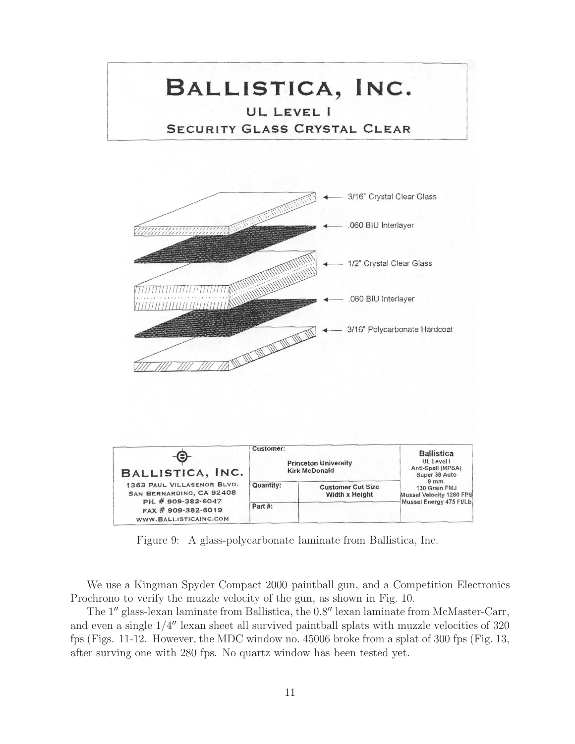

Figure 9: A glass-polycarbonate laminate from Ballistica, Inc.

We use a Kingman Spyder Compact 2000 paintball gun, and a Competition Electronics Prochrono to verify the muzzle velocity of the gun, as shown in Fig. 10.

The 1" glass-lexan laminate from Ballistica, the 0.8" lexan laminate from McMaster-Carr, and even a single  $1/4''$  lexan sheet all survived paintball splats with muzzle velocities of  $320$ fps (Figs. 11-12. However, the MDC window no. 45006 broke from a splat of 300 fps (Fig. 13, after surving one with 280 fps. No quartz window has been tested yet.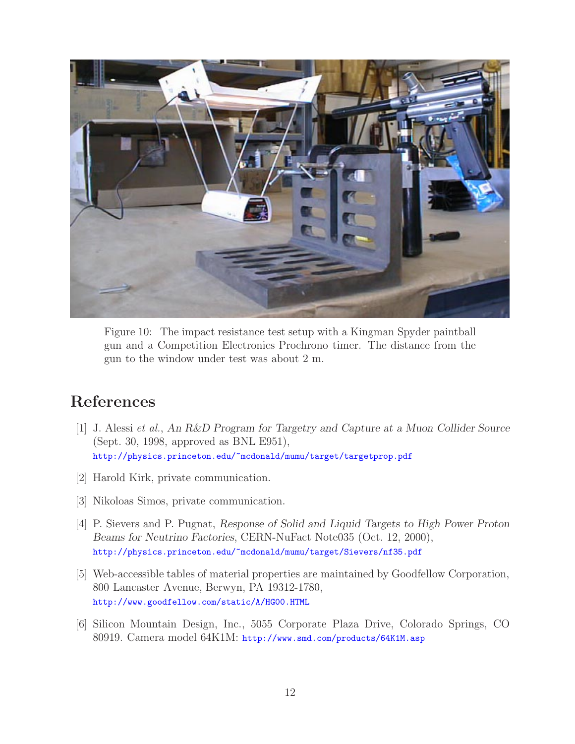

Figure 10: The impact resistance test setup with a Kingman Spyder paintball gun and a Competition Electronics Prochrono timer. The distance from the gun to the window under test was about 2 m.

# **References**

- [1] J. Alessi *et al.*, *An R&D Program for Targetry and Capture at a Muon Collider Source* (Sept. 30, 1998, approved as BNL E951), http://physics.princeton.edu/~mcdonald/mumu/target/targetprop.pdf
- [2] Harold Kirk, private communication.
- [3] Nikoloas Simos, private communication.
- [4] P. Sievers and P. Pugnat, *Response of Solid and Liquid Targets to High Power Proton Beams for Neutrino Factories*, CERN-NuFact Note035 (Oct. 12, 2000), http://physics.princeton.edu/~mcdonald/mumu/target/Sievers/nf35.pdf
- [5] Web-accessible tables of material properties are maintained by Goodfellow Corporation, 800 Lancaster Avenue, Berwyn, PA 19312-1780, http://www.goodfellow.com/static/A/HG00.HTML
- [6] Silicon Mountain Design, Inc., 5055 Corporate Plaza Drive, Colorado Springs, CO 80919. Camera model 64K1M: http://www.smd.com/products/64K1M.asp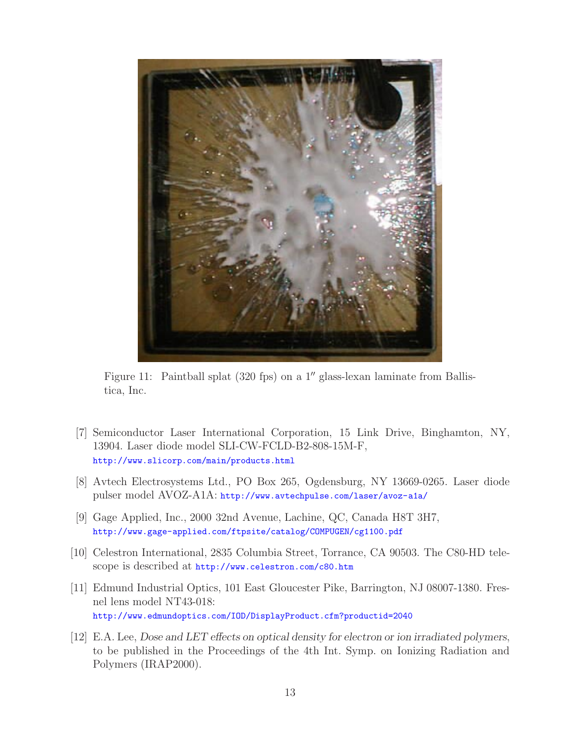

Figure 11: Paintball splat  $(320 \text{ fps})$  on a 1'' glass-lexan laminate from Ballistica, Inc.

- [7] Semiconductor Laser International Corporation, 15 Link Drive, Binghamton, NY, 13904. Laser diode model SLI-CW-FCLD-B2-808-15M-F, http://www.slicorp.com/main/products.html
- [8] Avtech Electrosystems Ltd., PO Box 265, Ogdensburg, NY 13669-0265. Laser diode pulser model AVOZ-A1A: http://www.avtechpulse.com/laser/avoz-a1a/
- [9] Gage Applied, Inc., 2000 32nd Avenue, Lachine, QC, Canada H8T 3H7, http://www.gage-applied.com/ftpsite/catalog/COMPUGEN/cg1100.pdf
- [10] Celestron International, 2835 Columbia Street, Torrance, CA 90503. The C80-HD telescope is described at http://www.celestron.com/c80.htm
- [11] Edmund Industrial Optics, 101 East Gloucester Pike, Barrington, NJ 08007-1380. Fresnel lens model NT43-018: http://www.edmundoptics.com/IOD/DisplayProduct.cfm?productid=2040
- [12] E.A. Lee, *Dose and LET effects on optical density for electron or ion irradiated polymers*, to be published in the Proceedings of the 4th Int. Symp. on Ionizing Radiation and Polymers (IRAP2000).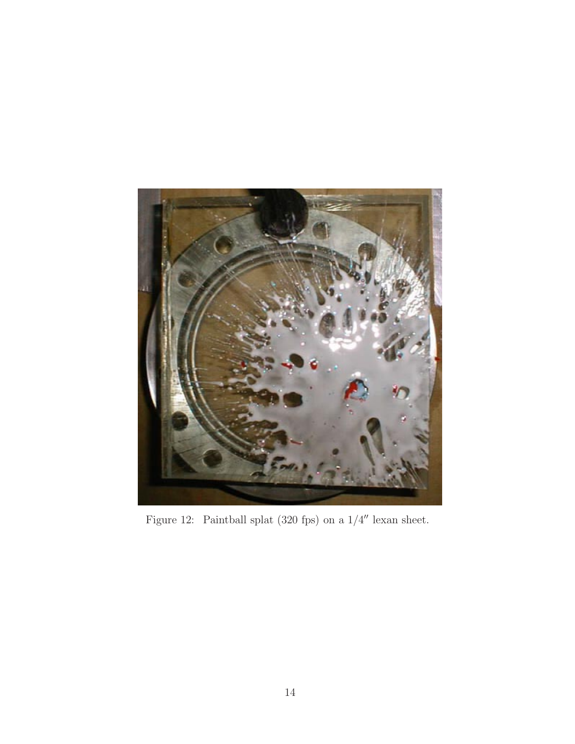

Figure 12: Paintball splat  $(320$  fps) on a  $1/4''$  lexan sheet.